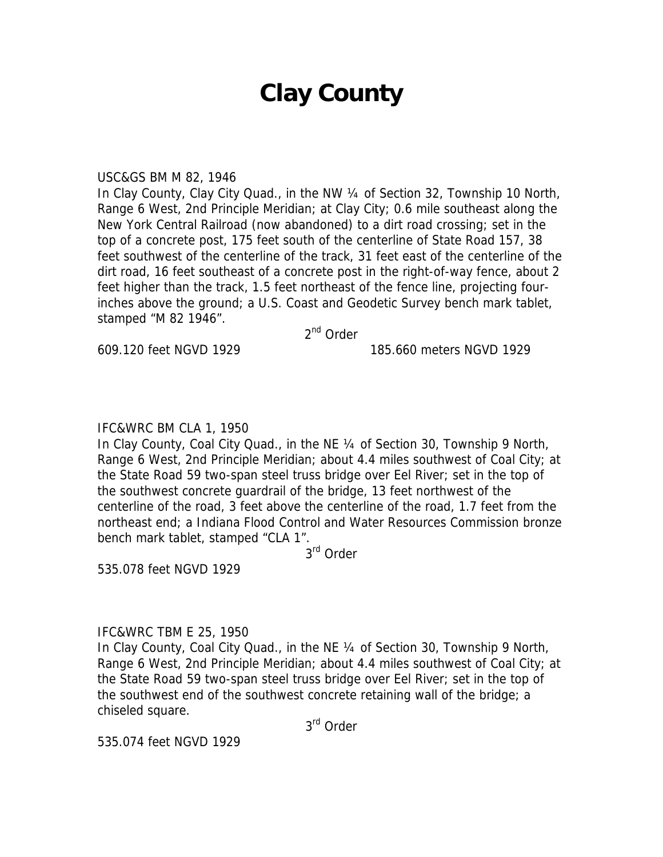# **Clay County**

#### USC&GS BM M 82, 1946

In Clay County, Clay City Quad., in the NW ¼ of Section 32, Township 10 North, Range 6 West, 2nd Principle Meridian; at Clay City; 0.6 mile southeast along the New York Central Railroad (now abandoned) to a dirt road crossing; set in the top of a concrete post, 175 feet south of the centerline of State Road 157, 38 feet southwest of the centerline of the track, 31 feet east of the centerline of the dirt road, 16 feet southeast of a concrete post in the right-of-way fence, about 2 feet higher than the track, 1.5 feet northeast of the fence line, projecting fourinches above the ground; a U.S. Coast and Geodetic Survey bench mark tablet, stamped "M 82 1946".

2<sup>nd</sup> Order

609.120 feet NGVD 1929 185.660 meters NGVD 1929

## IFC&WRC BM CLA 1, 1950

In Clay County, Coal City Quad., in the NE 1/4 of Section 30, Township 9 North, Range 6 West, 2nd Principle Meridian; about 4.4 miles southwest of Coal City; at the State Road 59 two-span steel truss bridge over Eel River; set in the top of the southwest concrete guardrail of the bridge, 13 feet northwest of the centerline of the road, 3 feet above the centerline of the road, 1.7 feet from the northeast end; a Indiana Flood Control and Water Resources Commission bronze bench mark tablet, stamped "CLA 1".

3rd Order

535.078 feet NGVD 1929

#### IFC&WRC TBM E 25, 1950

In Clay County, Coal City Quad., in the NE ¼ of Section 30, Township 9 North, Range 6 West, 2nd Principle Meridian; about 4.4 miles southwest of Coal City; at the State Road 59 two-span steel truss bridge over Eel River; set in the top of the southwest end of the southwest concrete retaining wall of the bridge; a chiseled square.

3rd Order

535.074 feet NGVD 1929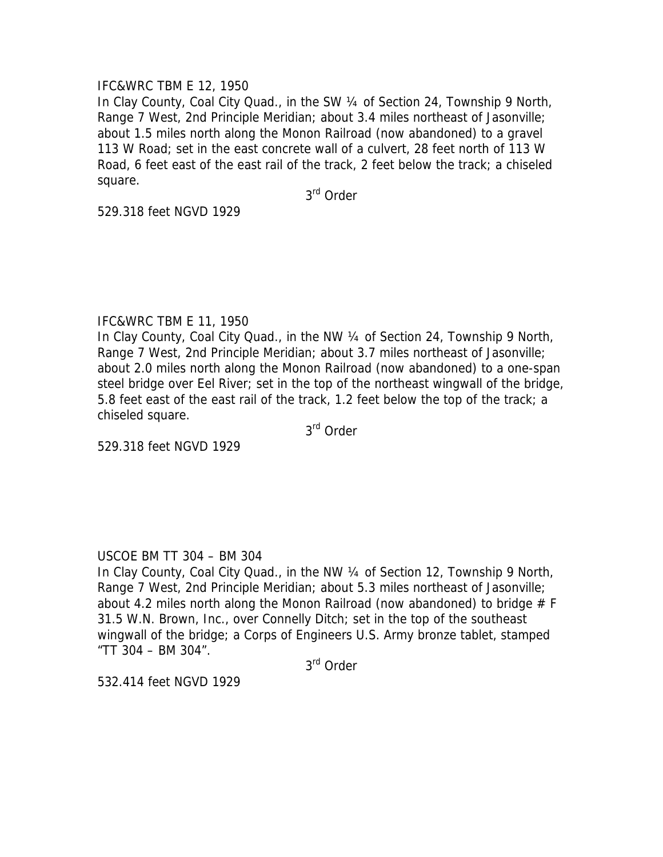## IFC&WRC TBM E 12, 1950

In Clay County, Coal City Quad., in the SW ¼ of Section 24, Township 9 North, Range 7 West, 2nd Principle Meridian; about 3.4 miles northeast of Jasonville; about 1.5 miles north along the Monon Railroad (now abandoned) to a gravel 113 W Road; set in the east concrete wall of a culvert, 28 feet north of 113 W Road, 6 feet east of the east rail of the track, 2 feet below the track; a chiseled square.

3rd Order

529.318 feet NGVD 1929

## IFC&WRC TBM E 11, 1950

In Clay County, Coal City Quad., in the NW 1/4 of Section 24, Township 9 North, Range 7 West, 2nd Principle Meridian; about 3.7 miles northeast of Jasonville; about 2.0 miles north along the Monon Railroad (now abandoned) to a one-span steel bridge over Eel River; set in the top of the northeast wingwall of the bridge, 5.8 feet east of the east rail of the track, 1.2 feet below the top of the track; a chiseled square.

3rd Order

529.318 feet NGVD 1929

## USCOE BM TT 304 – BM 304

In Clay County, Coal City Quad., in the NW ¼ of Section 12, Township 9 North, Range 7 West, 2nd Principle Meridian; about 5.3 miles northeast of Jasonville; about 4.2 miles north along the Monon Railroad (now abandoned) to bridge # F 31.5 W.N. Brown, Inc., over Connelly Ditch; set in the top of the southeast wingwall of the bridge; a Corps of Engineers U.S. Army bronze tablet, stamped "TT 304 – BM 304".

3rd Order

532.414 feet NGVD 1929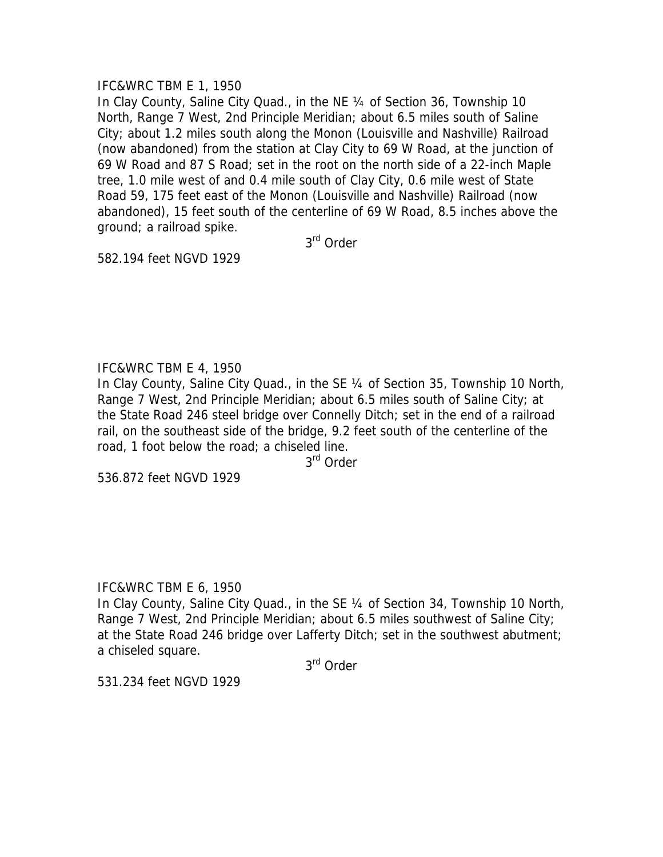## IFC&WRC TBM E 1, 1950

In Clay County, Saline City Quad., in the NE 1/4 of Section 36, Township 10 North, Range 7 West, 2nd Principle Meridian; about 6.5 miles south of Saline City; about 1.2 miles south along the Monon (Louisville and Nashville) Railroad (now abandoned) from the station at Clay City to 69 W Road, at the junction of 69 W Road and 87 S Road; set in the root on the north side of a 22-inch Maple tree, 1.0 mile west of and 0.4 mile south of Clay City, 0.6 mile west of State Road 59, 175 feet east of the Monon (Louisville and Nashville) Railroad (now abandoned), 15 feet south of the centerline of 69 W Road, 8.5 inches above the ground; a railroad spike.

3rd Order

582.194 feet NGVD 1929

## IFC&WRC TBM E 4, 1950

In Clay County, Saline City Quad., in the SE 1/4 of Section 35, Township 10 North, Range 7 West, 2nd Principle Meridian; about 6.5 miles south of Saline City; at the State Road 246 steel bridge over Connelly Ditch; set in the end of a railroad rail, on the southeast side of the bridge, 9.2 feet south of the centerline of the road, 1 foot below the road; a chiseled line.

3rd Order

536.872 feet NGVD 1929

## IFC&WRC TBM E 6, 1950

In Clay County, Saline City Quad., in the SE ¼ of Section 34, Township 10 North, Range 7 West, 2nd Principle Meridian; about 6.5 miles southwest of Saline City; at the State Road 246 bridge over Lafferty Ditch; set in the southwest abutment; a chiseled square.

3rd Order

531.234 feet NGVD 1929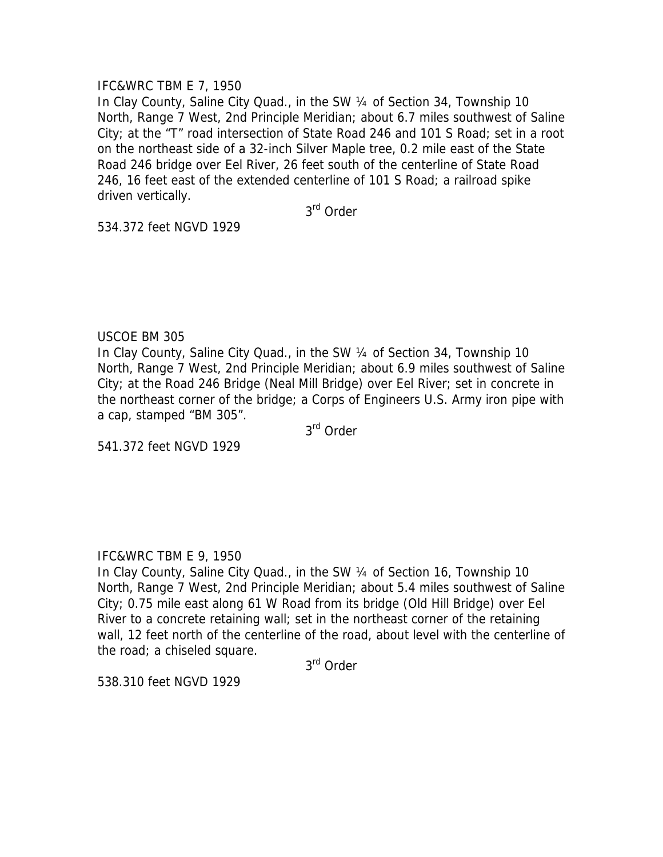## IFC&WRC TBM E 7, 1950

In Clay County, Saline City Quad., in the SW 1/4 of Section 34, Township 10 North, Range 7 West, 2nd Principle Meridian; about 6.7 miles southwest of Saline City; at the "T" road intersection of State Road 246 and 101 S Road; set in a root on the northeast side of a 32-inch Silver Maple tree, 0.2 mile east of the State Road 246 bridge over Eel River, 26 feet south of the centerline of State Road 246, 16 feet east of the extended centerline of 101 S Road; a railroad spike driven vertically.

3rd Order

534.372 feet NGVD 1929

## USCOE BM 305

In Clay County, Saline City Quad., in the SW 1/4 of Section 34, Township 10 North, Range 7 West, 2nd Principle Meridian; about 6.9 miles southwest of Saline City; at the Road 246 Bridge (Neal Mill Bridge) over Eel River; set in concrete in the northeast corner of the bridge; a Corps of Engineers U.S. Army iron pipe with a cap, stamped "BM 305".

3rd Order

541.372 feet NGVD 1929

# IFC&WRC TBM E 9, 1950

In Clay County, Saline City Quad., in the SW ¼ of Section 16, Township 10 North, Range 7 West, 2nd Principle Meridian; about 5.4 miles southwest of Saline City; 0.75 mile east along 61 W Road from its bridge (Old Hill Bridge) over Eel River to a concrete retaining wall; set in the northeast corner of the retaining wall, 12 feet north of the centerline of the road, about level with the centerline of the road; a chiseled square.

3rd Order

538.310 feet NGVD 1929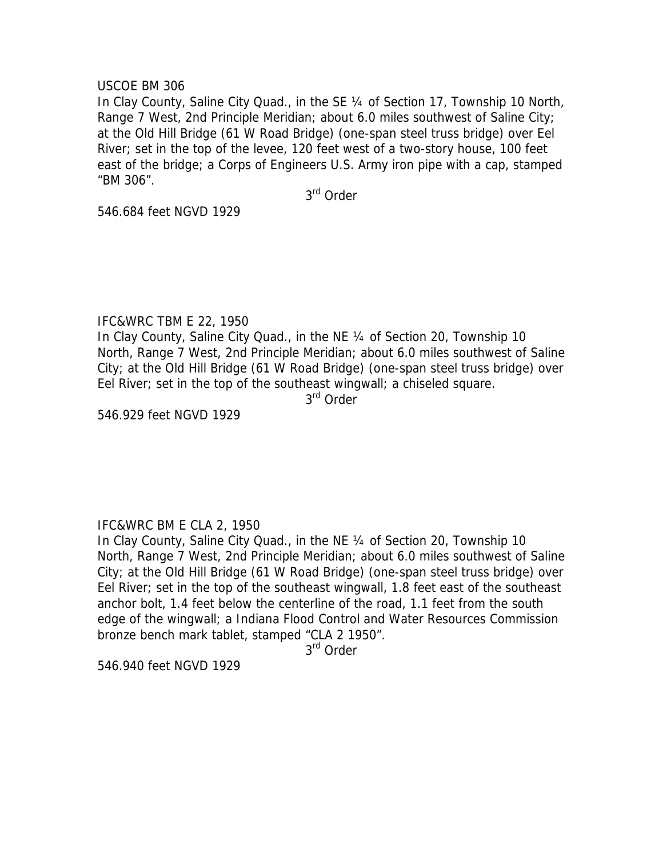#### USCOE BM 306

In Clay County, Saline City Quad., in the SE ¼ of Section 17, Township 10 North, Range 7 West, 2nd Principle Meridian; about 6.0 miles southwest of Saline City; at the Old Hill Bridge (61 W Road Bridge) (one-span steel truss bridge) over Eel River; set in the top of the levee, 120 feet west of a two-story house, 100 feet east of the bridge; a Corps of Engineers U.S. Army iron pipe with a cap, stamped "BM 306".

3rd Order

546.684 feet NGVD 1929

## IFC&WRC TBM E 22, 1950

In Clay County, Saline City Quad., in the NE 1/4 of Section 20, Township 10 North, Range 7 West, 2nd Principle Meridian; about 6.0 miles southwest of Saline City; at the Old Hill Bridge (61 W Road Bridge) (one-span steel truss bridge) over Eel River; set in the top of the southeast wingwall; a chiseled square.

3<sup>rd</sup> Order

546.929 feet NGVD 1929

## IFC&WRC BM E CLA 2, 1950

In Clay County, Saline City Quad., in the NE 1/4 of Section 20, Township 10 North, Range 7 West, 2nd Principle Meridian; about 6.0 miles southwest of Saline City; at the Old Hill Bridge (61 W Road Bridge) (one-span steel truss bridge) over Eel River; set in the top of the southeast wingwall, 1.8 feet east of the southeast anchor bolt, 1.4 feet below the centerline of the road, 1.1 feet from the south edge of the wingwall; a Indiana Flood Control and Water Resources Commission bronze bench mark tablet, stamped "CLA 2 1950".

3<sup>rd</sup> Order

546.940 feet NGVD 1929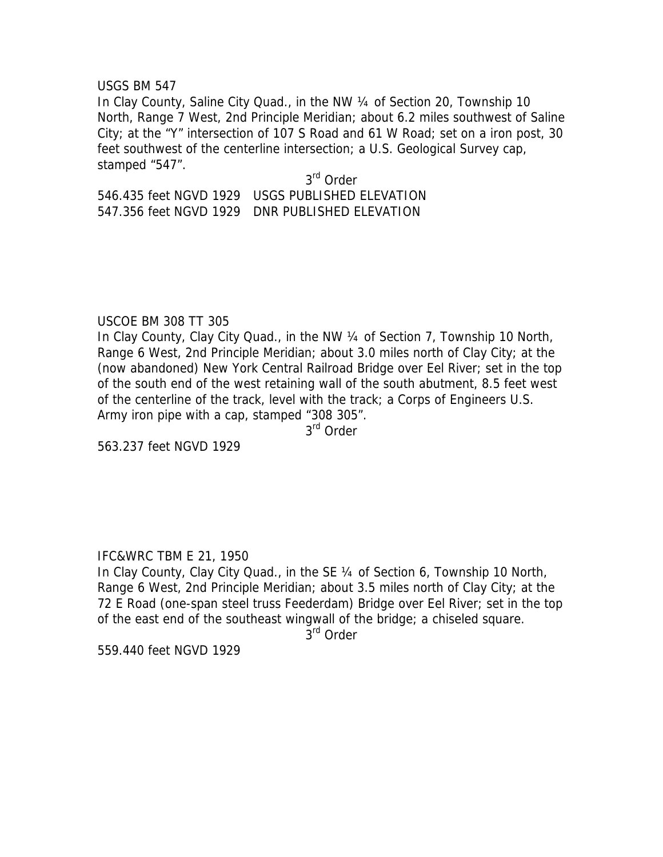#### USGS BM 547

In Clay County, Saline City Quad., in the NW ¼ of Section 20, Township 10 North, Range 7 West, 2nd Principle Meridian; about 6.2 miles southwest of Saline City; at the "Y" intersection of 107 S Road and 61 W Road; set on a iron post, 30 feet southwest of the centerline intersection; a U.S. Geological Survey cap, stamped "547".

# 3rd Order 546.435 feet NGVD 1929 USGS PUBLISHED ELEVATION 547.356 feet NGVD 1929 DNR PUBLISHED ELEVATION

## USCOE BM 308 TT 305

In Clay County, Clay City Quad., in the NW 1/4 of Section 7, Township 10 North, Range 6 West, 2nd Principle Meridian; about 3.0 miles north of Clay City; at the (now abandoned) New York Central Railroad Bridge over Eel River; set in the top of the south end of the west retaining wall of the south abutment, 8.5 feet west of the centerline of the track, level with the track; a Corps of Engineers U.S. Army iron pipe with a cap, stamped "308 305".

3<sup>rd</sup> Order

563.237 feet NGVD 1929

## IFC&WRC TBM E 21, 1950

In Clay County, Clay City Quad., in the SE 1/4 of Section 6, Township 10 North, Range 6 West, 2nd Principle Meridian; about 3.5 miles north of Clay City; at the 72 E Road (one-span steel truss Feederdam) Bridge over Eel River; set in the top of the east end of the southeast wingwall of the bridge; a chiseled square.

 $3<sup>rd</sup>$  Order

559.440 feet NGVD 1929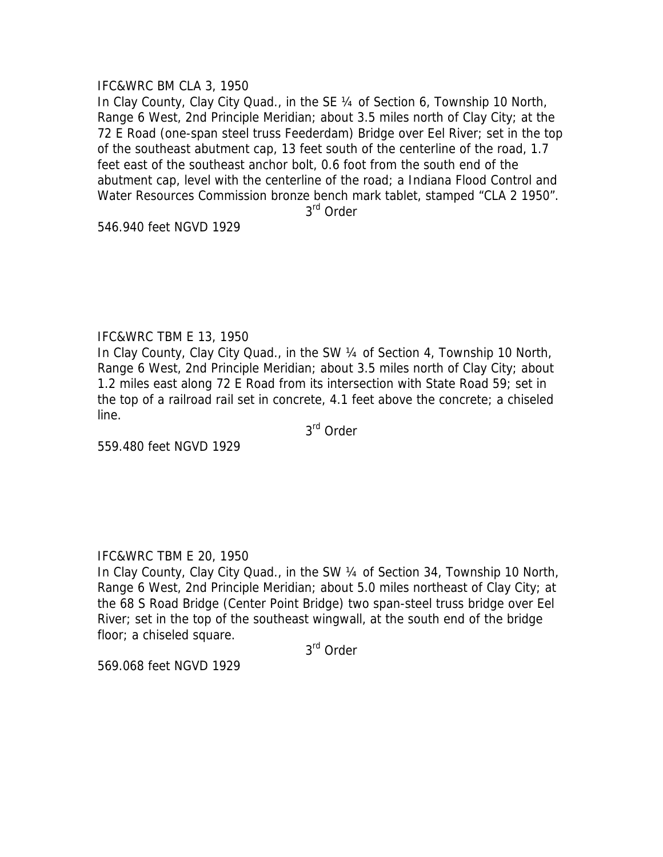## IFC&WRC BM CLA 3, 1950

In Clay County, Clay City Quad., in the SE 1/4 of Section 6, Township 10 North, Range 6 West, 2nd Principle Meridian; about 3.5 miles north of Clay City; at the 72 E Road (one-span steel truss Feederdam) Bridge over Eel River; set in the top of the southeast abutment cap, 13 feet south of the centerline of the road, 1.7 feet east of the southeast anchor bolt, 0.6 foot from the south end of the abutment cap, level with the centerline of the road; a Indiana Flood Control and Water Resources Commission bronze bench mark tablet, stamped "CLA 2 1950".

3rd Order

546.940 feet NGVD 1929

## IFC&WRC TBM E 13, 1950

In Clay County, Clay City Quad., in the SW 1/4 of Section 4, Township 10 North, Range 6 West, 2nd Principle Meridian; about 3.5 miles north of Clay City; about 1.2 miles east along 72 E Road from its intersection with State Road 59; set in the top of a railroad rail set in concrete, 4.1 feet above the concrete; a chiseled line.

3rd Order

559.480 feet NGVD 1929

## IFC&WRC TBM E 20, 1950

In Clay County, Clay City Quad., in the SW ¼ of Section 34, Township 10 North, Range 6 West, 2nd Principle Meridian; about 5.0 miles northeast of Clay City; at the 68 S Road Bridge (Center Point Bridge) two span-steel truss bridge over Eel River; set in the top of the southeast wingwall, at the south end of the bridge floor; a chiseled square.

3rd Order

569.068 feet NGVD 1929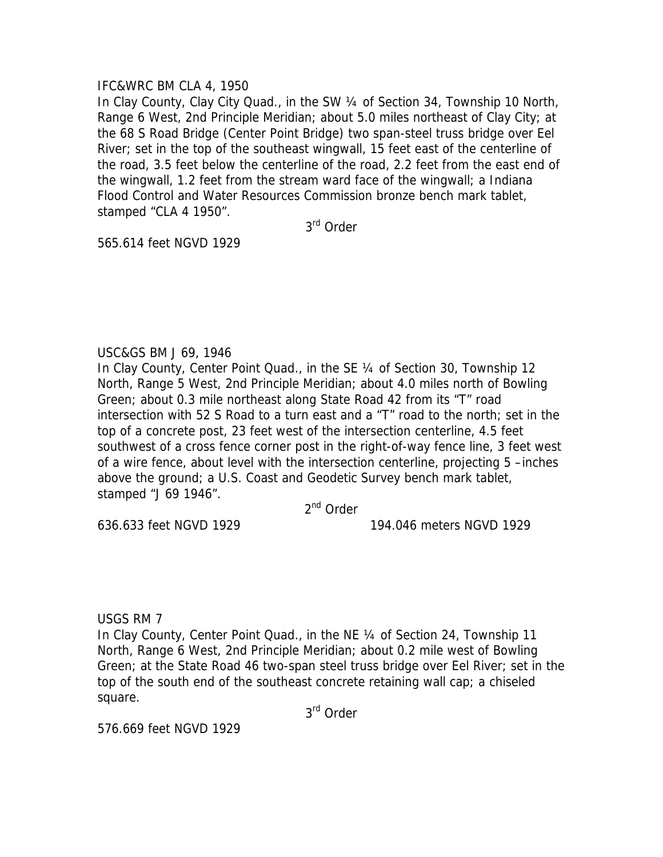## IFC&WRC BM CLA 4, 1950

In Clay County, Clay City Quad., in the SW ¼ of Section 34, Township 10 North, Range 6 West, 2nd Principle Meridian; about 5.0 miles northeast of Clay City; at the 68 S Road Bridge (Center Point Bridge) two span-steel truss bridge over Eel River; set in the top of the southeast wingwall, 15 feet east of the centerline of the road, 3.5 feet below the centerline of the road, 2.2 feet from the east end of the wingwall, 1.2 feet from the stream ward face of the wingwall; a Indiana Flood Control and Water Resources Commission bronze bench mark tablet, stamped "CLA 4 1950".

3rd Order

565.614 feet NGVD 1929

## USC&GS BM J 69, 1946

In Clay County, Center Point Quad., in the SE 1/4 of Section 30, Township 12 North, Range 5 West, 2nd Principle Meridian; about 4.0 miles north of Bowling Green; about 0.3 mile northeast along State Road 42 from its "T" road intersection with 52 S Road to a turn east and a "T" road to the north; set in the top of a concrete post, 23 feet west of the intersection centerline, 4.5 feet southwest of a cross fence corner post in the right-of-way fence line, 3 feet west of a wire fence, about level with the intersection centerline, projecting 5 –inches above the ground; a U.S. Coast and Geodetic Survey bench mark tablet, stamped "J 69 1946".

2nd Order

636.633 feet NGVD 1929 194.046 meters NGVD 1929

USGS RM 7

In Clay County, Center Point Quad., in the NE 1/4 of Section 24, Township 11 North, Range 6 West, 2nd Principle Meridian; about 0.2 mile west of Bowling Green; at the State Road 46 two-span steel truss bridge over Eel River; set in the top of the south end of the southeast concrete retaining wall cap; a chiseled square.

3rd Order

576.669 feet NGVD 1929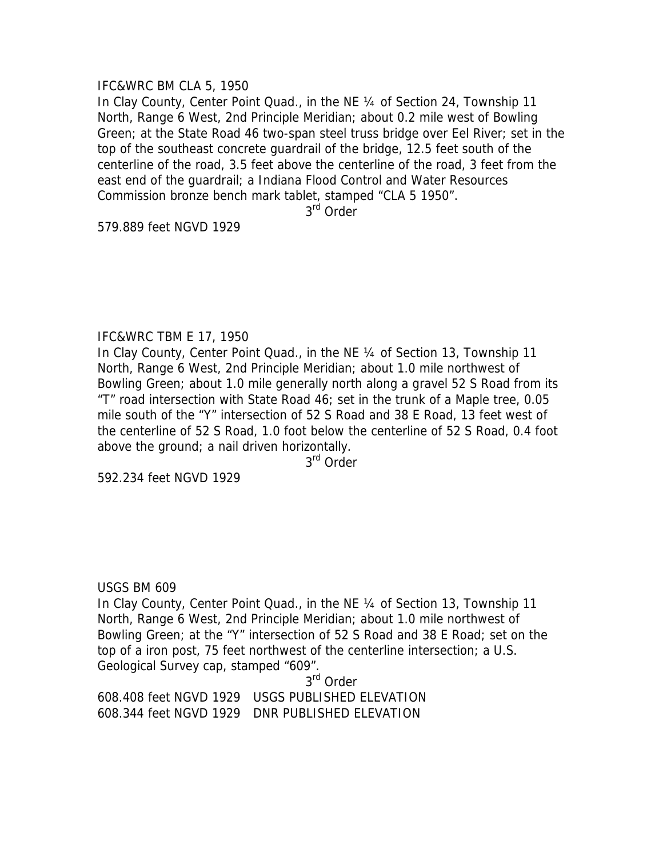## IFC&WRC BM CLA 5, 1950

In Clay County, Center Point Quad., in the NE 1/4 of Section 24, Township 11 North, Range 6 West, 2nd Principle Meridian; about 0.2 mile west of Bowling Green; at the State Road 46 two-span steel truss bridge over Eel River; set in the top of the southeast concrete guardrail of the bridge, 12.5 feet south of the centerline of the road, 3.5 feet above the centerline of the road, 3 feet from the east end of the guardrail; a Indiana Flood Control and Water Resources Commission bronze bench mark tablet, stamped "CLA 5 1950".

3rd Order

579.889 feet NGVD 1929

## IFC&WRC TBM E 17, 1950

In Clay County, Center Point Quad., in the NE ¼ of Section 13, Township 11 North, Range 6 West, 2nd Principle Meridian; about 1.0 mile northwest of Bowling Green; about 1.0 mile generally north along a gravel 52 S Road from its "T" road intersection with State Road 46; set in the trunk of a Maple tree, 0.05 mile south of the "Y" intersection of 52 S Road and 38 E Road, 13 feet west of the centerline of 52 S Road, 1.0 foot below the centerline of 52 S Road, 0.4 foot above the ground; a nail driven horizontally.

3rd Order

592.234 feet NGVD 1929

## USGS BM 609

In Clay County, Center Point Quad., in the NE ¼ of Section 13, Township 11 North, Range 6 West, 2nd Principle Meridian; about 1.0 mile northwest of Bowling Green; at the "Y" intersection of 52 S Road and 38 E Road; set on the top of a iron post, 75 feet northwest of the centerline intersection; a U.S. Geological Survey cap, stamped "609".

3<sup>rd</sup> Order 608.408 feet NGVD 1929 USGS PUBLISHED ELEVATION 608.344 feet NGVD 1929 DNR PUBLISHED ELEVATION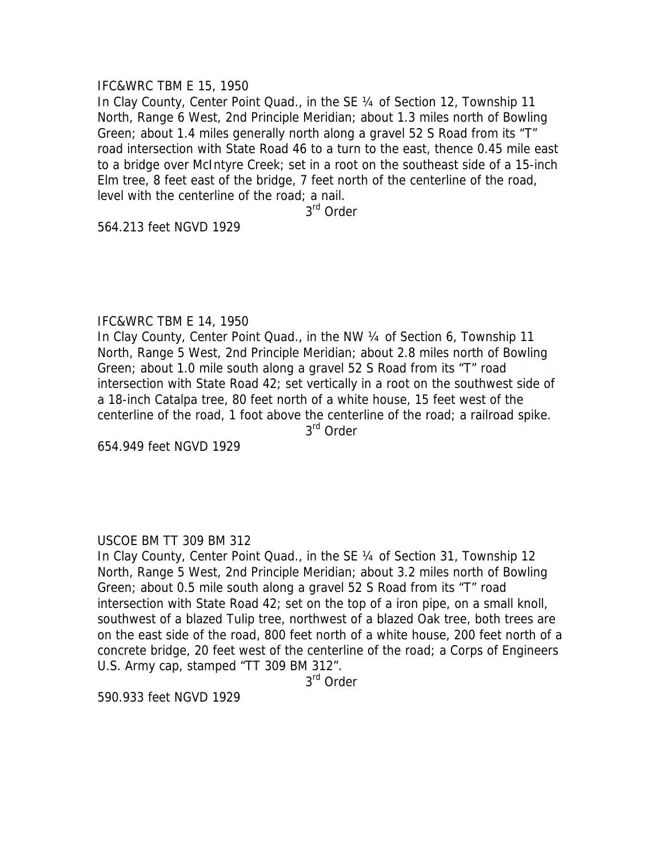#### IFC&WRC TBM E 15, 1950

In Clay County, Center Point Quad., in the SE ¼ of Section 12, Township 11 North, Range 6 West, 2nd Principle Meridian; about 1.3 miles north of Bowling Green; about 1.4 miles generally north along a gravel 52 S Road from its "T" road intersection with State Road 46 to a turn to the east, thence 0.45 mile east to a bridge over McIntyre Creek; set in a root on the southeast side of a 15-inch Elm tree, 8 feet east of the bridge, 7 feet north of the centerline of the road, level with the centerline of the road; a nail.

3rd Order

564.213 feet NGVD 1929

## IFC&WRC TBM E 14, 1950

In Clay County, Center Point Quad., in the NW 1/4 of Section 6, Township 11 North, Range 5 West, 2nd Principle Meridian; about 2.8 miles north of Bowling Green; about 1.0 mile south along a gravel 52 S Road from its "T" road intersection with State Road 42; set vertically in a root on the southwest side of a 18-inch Catalpa tree, 80 feet north of a white house, 15 feet west of the centerline of the road, 1 foot above the centerline of the road; a railroad spike. 3rd Order

654.949 feet NGVD 1929

## USCOE BM TT 309 BM 312

In Clay County, Center Point Quad., in the SE ¼ of Section 31, Township 12 North, Range 5 West, 2nd Principle Meridian; about 3.2 miles north of Bowling Green; about 0.5 mile south along a gravel 52 S Road from its "T" road intersection with State Road 42; set on the top of a iron pipe, on a small knoll, southwest of a blazed Tulip tree, northwest of a blazed Oak tree, both trees are on the east side of the road, 800 feet north of a white house, 200 feet north of a concrete bridge, 20 feet west of the centerline of the road; a Corps of Engineers U.S. Army cap, stamped "TT 309 BM 312".

3<sup>rd</sup> Order

590.933 feet NGVD 1929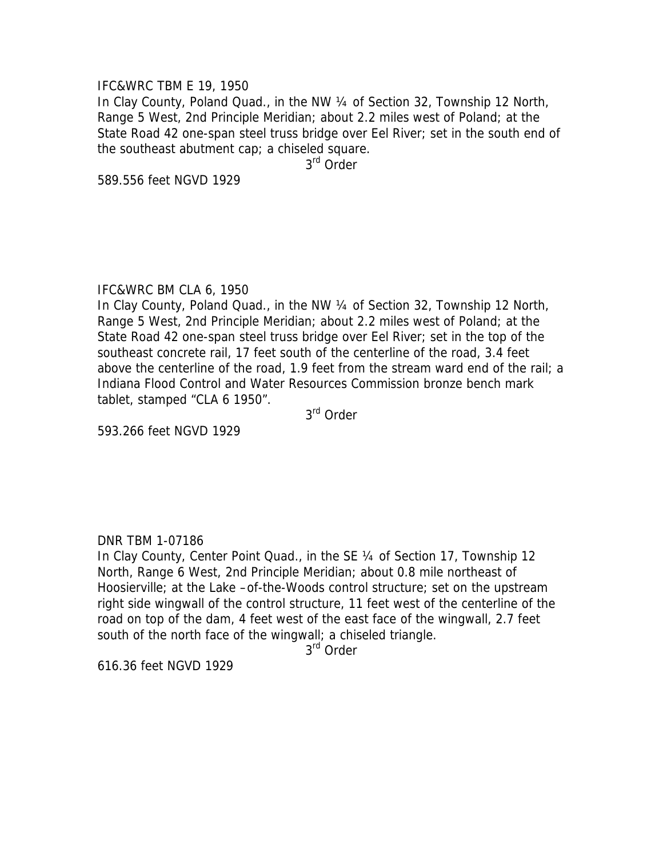#### IFC&WRC TBM E 19, 1950

In Clay County, Poland Quad., in the NW ¼ of Section 32, Township 12 North, Range 5 West, 2nd Principle Meridian; about 2.2 miles west of Poland; at the State Road 42 one-span steel truss bridge over Eel River; set in the south end of the southeast abutment cap; a chiseled square.

3rd Order

589.556 feet NGVD 1929

#### IFC&WRC BM CLA 6, 1950

In Clay County, Poland Quad., in the NW 1/4 of Section 32, Township 12 North, Range 5 West, 2nd Principle Meridian; about 2.2 miles west of Poland; at the State Road 42 one-span steel truss bridge over Eel River; set in the top of the southeast concrete rail, 17 feet south of the centerline of the road, 3.4 feet above the centerline of the road, 1.9 feet from the stream ward end of the rail; a Indiana Flood Control and Water Resources Commission bronze bench mark tablet, stamped "CLA 6 1950".

3rd Order

593.266 feet NGVD 1929

#### DNR TBM 1-07186

In Clay County, Center Point Quad., in the SE ¼ of Section 17, Township 12 North, Range 6 West, 2nd Principle Meridian; about 0.8 mile northeast of Hoosierville; at the Lake –of-the-Woods control structure; set on the upstream right side wingwall of the control structure, 11 feet west of the centerline of the road on top of the dam, 4 feet west of the east face of the wingwall, 2.7 feet south of the north face of the wingwall; a chiseled triangle.

3<sup>rd</sup> Order

616.36 feet NGVD 1929